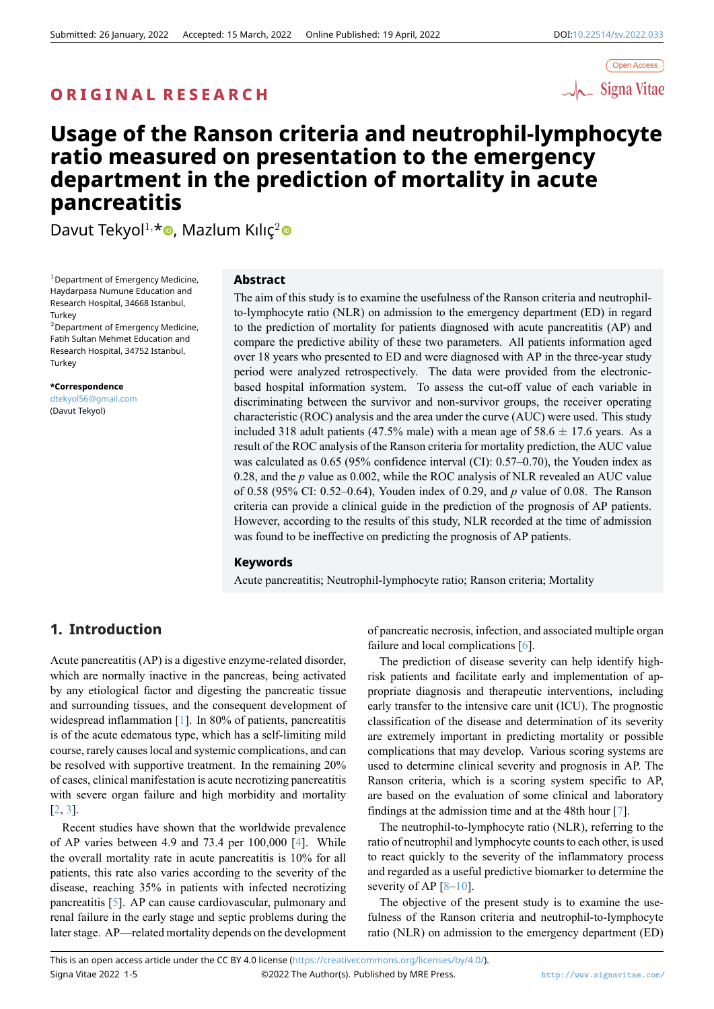# **O R I G I N A L R E S E A R C H**



# **Usage of the Ranson criteria and neutrophil-lymphocyte ratio measured on presentation to the emergency department in the prediction of mortality in acute pancreatitis**

Davut Tekyol<sup>1,\*</sup> , Mazlum Kılıç<sup>2</sup>

 $1$ Department of Emergency Medicine, Haydarpasa Numune Educat[ion](https://orcid.org/0000-0001-9353-6063) and Research Hospital, 34668 Istanbul, **Turkey** 

<sup>2</sup>Department of Emergency Medicine, Fatih Sultan Mehmet Education and Research Hospital, 34752 Istanbul, **Turkey** 

**\*Correspondence** dtekyol56@gmail.com (Davut Tekyol)

#### **Abstract**

The aim [of t](https://orcid.org/0000-0002-7517-203X)his study is to examine the usefulness of the Ranson criteria and neutrophilto-lymphocyte ratio (NLR) on admission to the emergency department (ED) in regard to the prediction of mortality for patients diagnosed with acute pancreatitis (AP) and compare the predictive ability of these two parameters. All patients information aged over 18 years who presented to ED and were diagnosed with AP in the three-year study period were analyzed retrospectively. The data were provided from the electronicbased hospital information system. To assess the cut-off value of each variable in discriminating between the survivor and non-survivor groups, the receiver operating characteristic (ROC) analysis and the area under the curve (AUC) were used. This study included 318 adult patients (47.5% male) with a mean age of 58.6 *±* 17.6 years. As a result of the ROC analysis of the Ranson criteria for mortality prediction, the AUC value was calculated as 0.65 (95% confidence interval (CI): 0.57–0.70), the Youden index as 0.28, and the *p* value as 0.002, while the ROC analysis of NLR revealed an AUC value of 0.58 (95% CI: 0.52–0.64), Youden index of 0.29, and *p* value of 0.08. The Ranson criteria can provide a clinical guide in the prediction of the prognosis of AP patients. However, according to the results of this study, NLR recorded at the time of admission was found to be ineffective on predicting the prognosis of AP patients.

## **Keywords**

Acute pancreatitis; Neutrophil-lymphocyte ratio; Ranson criteria; Mortality

# **1. Introduction**

Acute pancreatitis (AP) is a digestive enzyme-related disorder, which are normally inactive in the pancreas, being activated by any etiological factor and digesting the pancreatic tissue and surrounding tissues, and the consequent development of widespread inflammation [1]. In 80% of patients, pancreatitis is of the acute edematous type, which has a self-limiting mild course, rarely causes local and systemic complications, and can be resolved with supportive treatment. In the remaining 20% of cases, clinical manifesta[tio](#page-4-0)n is acute necrotizing pancreatitis with severe organ failure and high morbidity and mortality [2, 3].

Recent studies have shown that the worldwide prevalence of AP varies between 4.9 and 73.4 per 100,000 [4]. While the overall mortality rate in acute pancreatitis is 10% for all [pa](#page-4-1)t[ie](#page-4-2)nts, this rate also varies according to the severity of the disease, reaching 35% in patients with infected necrotizing pancreatitis [5]. AP can cause cardiovascular, pul[mo](#page-4-3)nary and renal failure in the early stage and septic problems during the later stage. AP—related mortality depends on the development of pancreatic necrosis, infection, and associated multiple organ failure and local complications [6].

The prediction of disease severity can help identify highrisk patients and facilitate early and implementation of appropriate diagnosis and therapeutic interventions, including early transfer to the intensive ca[re](#page-4-5) unit (ICU). The prognostic classification of the disease and determination of its severity are extremely important in predicting mortality or possible complications that may develop. Various scoring systems are used to determine clinical severity and prognosis in AP. The Ranson criteria, which is a scoring system specific to AP, are based on the evaluation of some clinical and laboratory findings at the admission time and at the 48th hour [7].

The neutrophil-to-lymphocyte ratio (NLR), referring to the ratio of neutrophil and lymphocyte counts to each other, is used to react quickly to the severity of the inflammatory process and regarded as a useful predictive biomarker to det[erm](#page-4-6)ine the severity of AP  $[8-10]$ .

The objective of the present study is to examine the usefulness of the Ranson criteria and neutrophil-to-lymphocyte ratio (NLR) on admission to the emergency department (ED)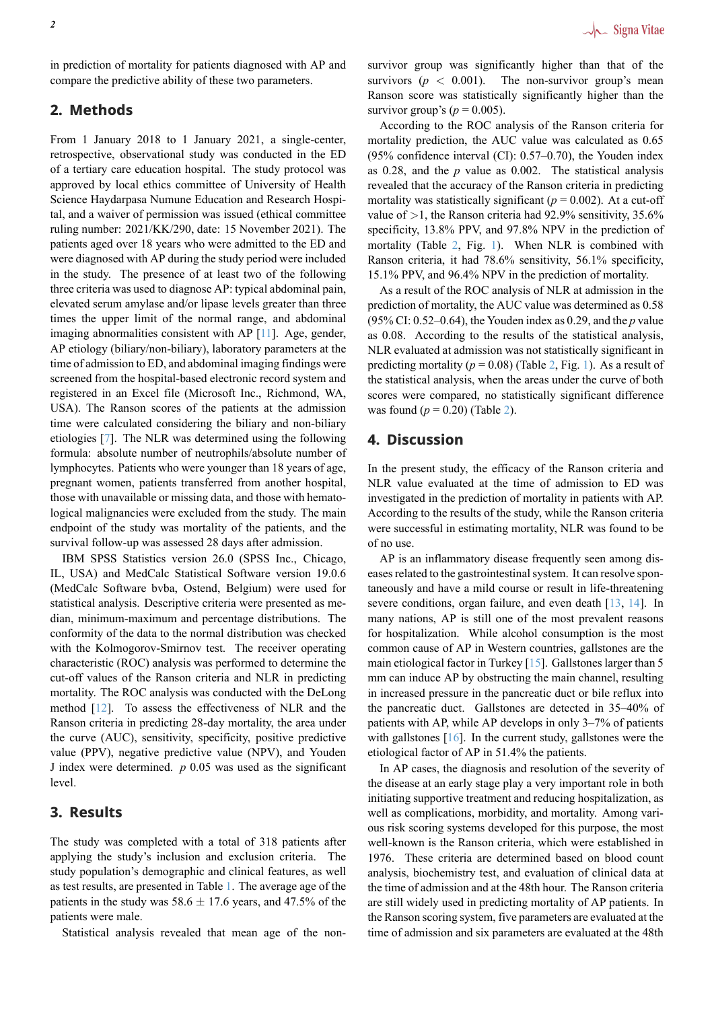in prediction of mortality for patients diagnosed with AP and compare the predictive ability of these two parameters.

# **2. Methods**

From 1 January 2018 to 1 January 2021, a single-center, retrospective, observational study was conducted in the ED of a tertiary care education hospital. The study protocol was approved by local ethics committee of University of Health Science Haydarpasa Numune Education and Research Hospital, and a waiver of permission was issued (ethical committee ruling number: 2021/KK/290, date: 15 November 2021). The patients aged over 18 years who were admitted to the ED and were diagnosed with AP during the study period were included in the study. The presence of at least two of the following three criteria was used to diagnose AP: typical abdominal pain, elevated serum amylase and/or lipase levels greater than three times the upper limit of the normal range, and abdominal imaging abnormalities consistent with AP [11]. Age, gender, AP etiology (biliary/non-biliary), laboratory parameters at the time of admission to ED, and abdominal imaging findings were screened from the hospital-based electronic record system and registered in an Excel file (Microsoft Inc.[, R](#page-4-7)ichmond, WA, USA). The Ranson scores of the patients at the admission time were calculated considering the biliary and non-biliary etiologies [7]. The NLR was determined using the following formula: absolute number of neutrophils/absolute number of lymphocytes. Patients who were younger than 18 years of age, pregnant women, patients transferred from another hospital, those with [un](#page-4-6)available or missing data, and those with hematological malignancies were excluded from the study. The main endpoint of the study was mortality of the patients, and the survival follow-up was assessed 28 days after admission.

IBM SPSS Statistics version 26.0 (SPSS Inc., Chicago, IL, USA) and MedCalc Statistical Software version 19.0.6 (MedCalc Software bvba, Ostend, Belgium) were used for statistical analysis. Descriptive criteria were presented as median, minimum-maximum and percentage distributions. The conformity of the data to the normal distribution was checked with the Kolmogorov-Smirnov test. The receiver operating characteristic (ROC) analysis was performed to determine the cut-off values of the Ranson criteria and NLR in predicting mortality. The ROC analysis was conducted with the DeLong method [12]. To assess the effectiveness of NLR and the Ranson criteria in predicting 28-day mortality, the area under the curve (AUC), sensitivity, specificity, positive predictive value (PPV), negative predictive value (NPV), and Youden J index [wer](#page-4-8)e determined. *p* 0.05 was used as the significant level.

# **3. Results**

The study was completed with a total of 318 patients after applying the study's inclusion and exclusion criteria. The study population's demographic and clinical features, as well as test results, are presented in Table 1. The average age of the patients in the study was  $58.6 \pm 17.6$  years, and 47.5% of the patients were male.

Statistical analysis revealed that mean age of the non-

survivor group was significantly higher than that of the survivors  $(p < 0.001)$ . The non-survivor group's mean Ranson score was statistically significantly higher than the survivor group's ( $p = 0.005$ ).

According to the ROC analysis of the Ranson criteria for mortality prediction, the AUC value was calculated as 0.65 (95% confidence interval (CI): 0.57–0.70), the Youden index as 0.28, and the *p* value as 0.002. The statistical analysis revealed that the accuracy of the Ranson criteria in predicting mortality was statistically significant ( $p = 0.002$ ). At a cut-off value of *>*1, the Ranson criteria had 92.9% sensitivity, 35.6% specificity, 13.8% PPV, and 97.8% NPV in the prediction of mortality (Table 2, Fig. 1). When NLR is combined with Ranson criteria, it had 78.6% sensitivity, 56.1% specificity, 15.1% PPV, and 96.4% NPV in the prediction of mortality.

As a result of the ROC analysis of NLR at admission in the prediction of mor[ta](#page-2-0)lity, th[e](#page-3-0) AUC value was determined as 0.58 (95% CI: 0.52–0.64), the Youden index as 0.29, and the *p* value as 0.08. According to the results of the statistical analysis, NLR evaluated at admission was not statistically significant in predicting mortality ( $p = 0.08$ ) (Table 2, Fig. 1). As a result of the statistical analysis, when the areas under the curve of both scores were compared, no statistically significant difference was found  $(p = 0.20)$  (Table 2).

# **4. Discussion**

In the present study, the ef[fic](#page-2-0)acy of the Ranson criteria and NLR value evaluated at the time of admission to ED was investigated in the prediction of mortality in patients with AP. According to the results of the study, while the Ranson criteria were successful in estimating mortality, NLR was found to be of no use.

AP is an inflammatory disease frequently seen among diseases related to the gastrointestinal system. It can resolve spontaneously and have a mild course or result in life-threatening severe conditions, organ failure, and even death [13, 14]. In many nations, AP is still one of the most prevalent reasons for hospitalization. While alcohol consumption is the most common cause of AP in Western countries, gallstones are the main etiological factor in Turkey [15]. Gallstonesl[arg](#page-4-9)[er th](#page-4-10)an 5 mm can induce AP by obstructing the main channel, resulting in increased pressure in the pancreatic duct or bile reflux into the pancreatic duct. Gallstones are detected in 35–40% of patients with AP, while AP devel[ops](#page-4-11) in only 3–7% of patients with gallstones [16]. In the current study, gallstones were the etiological factor of AP in 51.4% the patients.

In AP cases, the diagnosis and resolution of the severity of the disease at an early stage play a very important role in both initiating suppor[tive](#page-4-12) treatment and reducing hospitalization, as well as complications, morbidity, and mortality. Among various risk scoring systems developed for this purpose, the most well-known is the Ranson criteria, which were established in 1976. These criteria are determined based on blood count analysis, biochemistry test, and evaluation of clinical data at the time of admission and at the 48th hour. The Ranson criteria are still widely used in predicting mortality of AP patients. In the Ranson scoring system, five parameters are evaluated at the time of admission and six parameters are evaluated at the 48th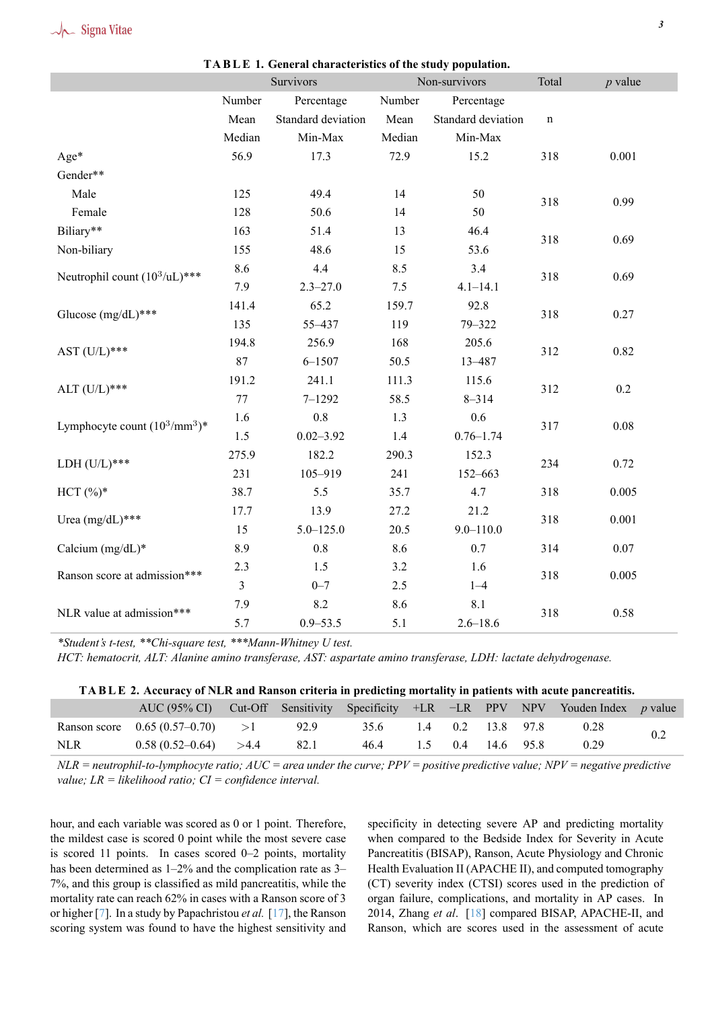|                                           | Survivors      |                    |                 | Non-survivors      | Total       | $p$ value |  |
|-------------------------------------------|----------------|--------------------|-----------------|--------------------|-------------|-----------|--|
|                                           | Number         | Percentage         | Number          | Percentage         |             |           |  |
|                                           | Mean           | Standard deviation | Mean            | Standard deviation | $\mathbf n$ |           |  |
|                                           | Median         | Min-Max            | Median          | Min-Max            |             |           |  |
| Age*                                      | 56.9           | 17.3               | 72.9            | 15.2               | 318         | 0.001     |  |
| Gender**                                  |                |                    |                 |                    |             |           |  |
| Male                                      | 125            | 49.4               | 14<br>50<br>318 |                    |             | 0.99      |  |
| Female                                    | 128            | 50.6               | 50<br>14        |                    |             |           |  |
| Biliary**                                 | 163            | 51.4               | 13              | 46.4               | 318         | 0.69      |  |
| Non-biliary                               | 155            | 48.6               | 15              | 53.6               |             |           |  |
| Neutrophil count (10 <sup>3</sup> /uL)*** | 8.6            | 4.4                | 8.5             | 3.4                | 318         | 0.69      |  |
|                                           | 7.9            | $2.3 - 27.0$       | 7.5             | $4.1 - 14.1$       |             |           |  |
| Glucose (mg/dL)***                        | 141.4          | 65.2               | 159.7           | 92.8               | 318         | 0.27      |  |
|                                           | 135            | 55-437             | 119             | 79-322             |             |           |  |
| AST $(U/L)$ ***                           | 194.8          | 256.9              | 168             | 205.6              | 312         | 0.82      |  |
|                                           | 87             | $6 - 1507$         | 50.5            | 13-487             |             |           |  |
| ALT $(U/L)$ ***                           | 191.2          | 241.1              | 111.3           | 115.6              | 312         |           |  |
|                                           | 77             | $7 - 1292$         | 58.5            | $8 - 314$          |             | 0.2       |  |
| Lymphocyte count $(10^3/\text{mm}^3)^*$   | 1.6            | $0.8\,$            | 1.3             | 0.6                | 317         |           |  |
|                                           | 1.5            | $0.02 - 3.92$      | 1.4             | $0.76 - 1.74$      |             | $0.08\,$  |  |
| LDH $(U/L)$ ***                           | 275.9          | 182.2              | 290.3           | 152.3              | 234         |           |  |
|                                           | 231            | 105-919            | 241             | 152-663            |             | 0.72      |  |
| $HCT (%)^*$                               | 38.7           | 5.5                | 35.7            | 4.7                | 318         | 0.005     |  |
|                                           | 17.7           | 13.9               | 27.2            | 21.2               |             |           |  |
| Urea $(mg/dL)$ ***                        | 15             | $5.0 - 125.0$      | 20.5            | $9.0 - 110.0$      | 318         | 0.001     |  |
| Calcium (mg/dL)*                          | 8.9            | 0.8                | 8.6             | 0.7                | 314         | $0.07\,$  |  |
|                                           | 2.3            | 1.5                | 3.2             | 1.6                |             |           |  |
| Ranson score at admission***              | $\overline{3}$ | $0 - 7$            | 2.5             | $1 - 4$            | 318         | 0.005     |  |
|                                           | 7.9            | 8.2                | 8.6             | 8.1                |             |           |  |
| NLR value at admission***                 | 5.7            | $0.9 - 53.5$       | 5.1             | $2.6 - 18.6$       | 318         | 0.58      |  |

**TA B L E 1. General characteristics of the study population.**

*\*Student's t-test, \*\*Chi-square test, \*\*\*Mann-Whitney U test.*

*HCT: hematocrit, ALT: Alanine amino transferase, AST: aspartate amino transferase, LDH: lactate dehydrogenase.*

| TABLE 2. Accuracy of NLR and Ranson criteria in predicting mortality in patients with acute pancreatitis. |  |
|-----------------------------------------------------------------------------------------------------------|--|
|                                                                                                           |  |

|            | AUC (95% CI) Cut-Off Sensitivity Specificity +LR -LR PPV NPV Youden Index p value |      |                        |  |  |      |  |  |
|------------|-----------------------------------------------------------------------------------|------|------------------------|--|--|------|--|--|
|            | Ranson score $0.65(0.57-0.70)$ >1 92.9                                            |      | 35.6 1.4 0.2 13.8 97.8 |  |  | 0.28 |  |  |
| <b>NLR</b> | $0.58(0.52-0.64) > 4.4$                                                           | 82.1 | 46.4 1.5 0.4 14.6 95.8 |  |  | 0.29 |  |  |

<span id="page-2-0"></span>*NLR = neutrophil-to-lymphocyte ratio; AUC = area under the curve; PPV = positive predictive value; NPV = negative predictive value; LR = likelihood ratio; CI = confidence interval.*

hour, and each variable was scored as 0 or 1 point. Therefore, the mildest case is scored 0 point while the most severe case is scored 11 points. In cases scored 0–2 points, mortality has been determined as  $1-2\%$  and the complication rate as 3– 7%, and this group is classified as mild pancreatitis, while the mortality rate can reach 62% in cases with a Ranson score of 3 or higher [7]. In a study by Papachristou *et al.* [17], the Ranson scoring system was found to have the highest sensitivity and specificity in detecting severe AP and predicting mortality when compared to the Bedside Index for Severity in Acute Pancreatitis (BISAP), Ranson, Acute Physiology and Chronic Health Evaluation II (APACHE II), and computed tomography (CT) severity index (CTSI) scores used in the prediction of organ failure, complications, and mortality in AP cases. In 2014, Zhang *et al*. [18] compared BISAP, APACHE-II, and Ranson, which are scores used in the assessment of acute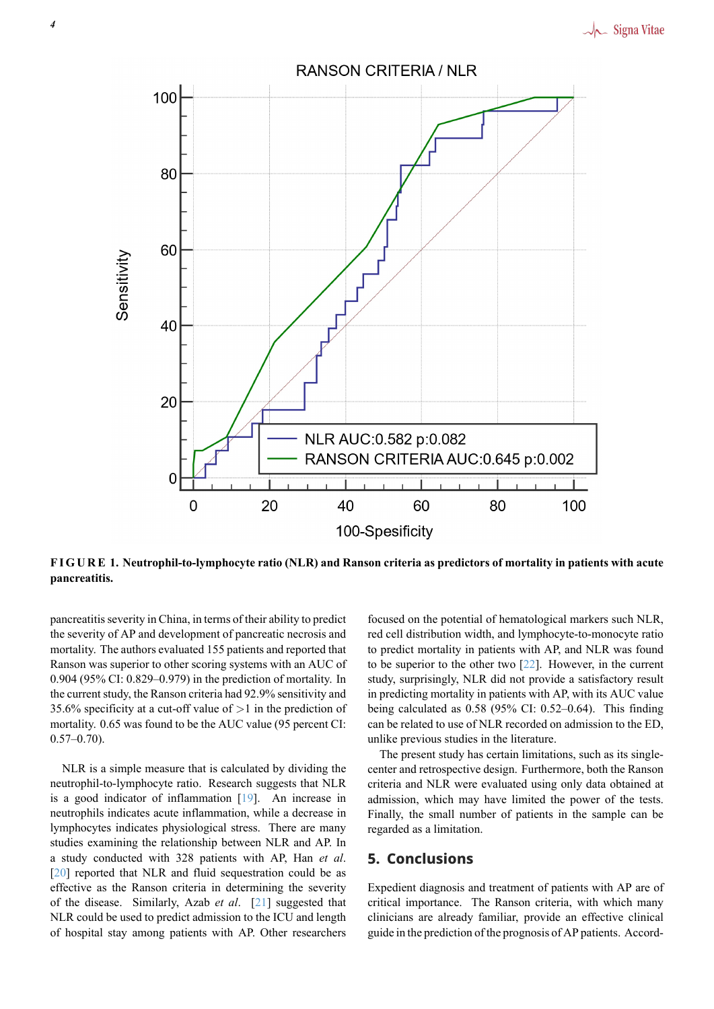<span id="page-3-0"></span>

**F I G U R E 1. Neutrophil-to-lymphocyte ratio (NLR) and Ranson criteria as predictors of mortality in patients with acute pancreatitis.**

pancreatitis severity in China, in terms of their ability to predict the severity of AP and development of pancreatic necrosis and mortality. The authors evaluated 155 patients and reported that Ranson was superior to other scoring systems with an AUC of 0.904 (95% CI: 0.829–0.979) in the prediction of mortality. In the current study, the Ranson criteria had 92.9% sensitivity and 35.6% specificity at a cut-off value of *>*1 in the prediction of mortality. 0.65 was found to be the AUC value (95 percent CI:  $0.57-0.70$ ).

NLR is a simple measure that is calculated by dividing the neutrophil-to-lymphocyte ratio. Research suggests that NLR is a good indicator of inflammation [19]. An increase in neutrophils indicates acute inflammation, while a decrease in lymphocytes indicates physiological stress. There are many studies examining the relationship between NLR and AP. In a study conducted with 328 patients [wi](#page-4-13)th AP, Han *et al*. [20] reported that NLR and fluid sequestration could be as effective as the Ranson criteria in determining the severity of the disease. Similarly, Azab *et al*. [21] suggested that NLR could be used to predict admission to the ICU and length [of h](#page-4-14)ospital stay among patients with AP. Other researchers focused on the potential of hematological markers such NLR, red cell distribution width, and lymphocyte-to-monocyte ratio to predict mortality in patients with AP, and NLR was found to be superior to the other two  $[22]$ . However, in the current study, surprisingly, NLR did not provide a satisfactory result in predicting mortality in patients with AP, with its AUC value being calculated as 0.58 (95% CI: 0.52–0.64). This finding can be related to use of NLR rec[ord](#page-4-15)ed on admission to the ED, unlike previous studies in the literature.

The present study has certain limitations, such as its singlecenter and retrospective design. Furthermore, both the Ranson criteria and NLR were evaluated using only data obtained at admission, which may have limited the power of the tests. Finally, the small number of patients in the sample can be regarded as a limitation.

# **5. Conclusions**

Expedient diagnosis and treatment of patients with AP are of critical importance. The Ranson criteria, with which many clinicians are already familiar, provide an effective clinical guide in the prediction of the prognosis of AP patients. Accord